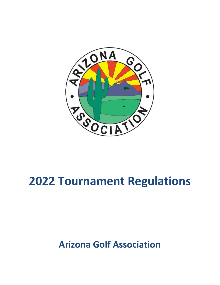

# **2022 Tournament Regulations**

## **Arizona Golf Association**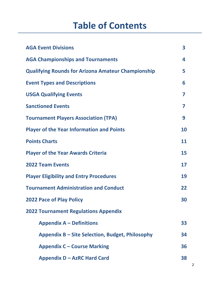## **Table of Contents**

| <b>AGA Event Divisions</b>                                | 3  |
|-----------------------------------------------------------|----|
| <b>AGA Championships and Tournaments</b>                  | 4  |
| <b>Qualifying Rounds for Arizona Amateur Championship</b> | 5  |
| <b>Event Types and Descriptions</b>                       | 6  |
| <b>USGA Qualifying Events</b>                             | 7  |
| <b>Sanctioned Events</b>                                  | 7  |
| <b>Tournament Players Association (TPA)</b>               | 9  |
| <b>Player of the Year Information and Points</b>          | 10 |
| <b>Points Charts</b>                                      | 11 |
| <b>Player of the Year Awards Criteria</b>                 | 15 |
| <b>2022 Team Events</b>                                   | 17 |
| <b>Player Eligibility and Entry Procedures</b>            | 19 |
| <b>Tournament Administration and Conduct</b>              | 22 |
| <b>2022 Pace of Play Policy</b>                           | 30 |
| <b>2022 Tournament Regulations Appendix</b>               |    |
| <b>Appendix A – Definitions</b>                           | 33 |
| Appendix B - Site Selection, Budget, Philosophy           | 34 |
| <b>Appendix C - Course Marking</b>                        | 36 |
| <b>Appendix D - AzRC Hard Card</b>                        | 38 |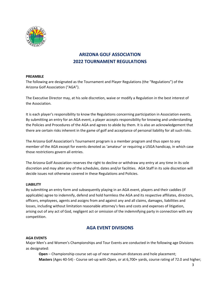<span id="page-2-0"></span>

## **ARIZONA GOLF ASSOCIATION 2022 TOURNAMENT REGULATIONS**

#### **PREAMBLE**

The following are designated as the Tournament and Player Regulations (the "Regulations") of the Arizona Golf Association ("AGA").

The Executive Director may, at his sole discretion, waive or modify a Regulation in the best interest of the Association.

It is each player's responsibility to know the Regulations concerning participation in Association events. By submitting an entry for an AGA event, a player accepts responsibility for knowing and understanding the Policies and Procedures of the AGA and agrees to abide by them. It is also an acknowledgement that there are certain risks inherent in the game of golf and acceptance of personal liability for all such risks.

The Arizona Golf Association's Tournament program is a member program and thus open to any member of the AGA except for events denoted as 'amateur' or requiring a USGA handicap, in which case those restrictions govern all entries.

The Arizona Golf Association reserves the right to decline or withdraw any entry at any time in its sole discretion and may alter any of the schedules, dates and/or facilities. AGA Staff in its sole discretion will decide issues not otherwise covered in these Regulations and Policies.

#### **LIABILITY**

By submitting an entry form and subsequently playing in an AGA event, players and their caddies (if applicable) agree to indemnify, defend and hold harmless the AGA and its respective affiliates, directors, officers, employees, agents and assigns from and against any and all claims, damages, liabilities and losses, including without limitation reasonable attorney's fees and costs and expenses of litigation, arising out of any act of God, negligent act or omission of the indemnifying party in connection with any competition.

## **AGA EVENT DIVISIONS**

#### **AGA EVENTS**

Major Men's and Women's Championships and Tour Events are conducted in the following age Divisions as designated:

**Open** – Championship course set-up of near maximum distances and hole placement; **Masters** (Ages 40-54) - Course set-up with Open, or at 6,700+ yards, course rating of 72.0 and higher;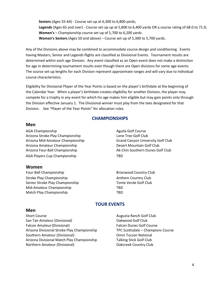<span id="page-3-0"></span>**Seniors** (Ages 55-64) - Course set-up at 6,300 to 6,800 yards; **Legends** (Ages 65 and over) - Course set-up up at 5,800 to 6,400 yards OR a course rating of 68.0 to 71.0; **Women's** – Championship course set-up of 5,700 to 6,200 yards. **Women's Seniors** (Ages 50 and above) – Course set-up of 5,300 to 5,700 yards.

Any of the Divisions above may be combined to accommodate course design and conditioning. Events having Masters, Senior and Legends flights are classified as Divisional Events. Tournament results are determined within each age Division. Any event classified as an Open event does not make a distinction for age in determining tournament results even though there are Open divisions for some age-events. The course set-up lengths for each Division represent approximate ranges and will vary due to individual course characteristics.

Eligibility for Divisional Player of the Year Points is based on the player's birthdate at the beginning of the Calendar Year. When a player's birthdate creates eligibility for another Division, the player may compete for a trophy in any event for which his age makes him eligible but may gain points only through the Division effective January 1. The Divisional winner must play from the tees designated for that Division. See "Player of the Year Points" for allocation rules.

## **CHAMPIONSHIPS**

#### **Men**

AGA Championship Aguila Golf Course Arizona Stroke Play Championship Lone Tree Golf Club Arizona Mid-Amateur Championship Grand Canyon University Golf Club Arizona Amateur Championship **Desert Mountain Golf Club** Arizona Four-Ball Championship **Ak-Chin Southern Dunes Golf Club** AGA Players Cup Championship TBD

#### **Women**

Four-Ball Championship **Briarwood Country Club** Stroke Play Championship **Anthem Country Club** Senior Stroke Play Championship Tonte Verde Golf Club Mid-Amateur Championship TBD Match Play Championship TBD

## **TOUR EVENTS**

#### **Men**

Short Course **Augusta Ranch Golf Club Augusta Ranch Golf Club** San Tan Amateur (Divisional) Canadian Control Control Club Falcon Amateur (Divisional) Falcon Dunes Golf Course Arizona Divisional Stroke Play Championship TPC Scottsdale – Champions Course Southern Amateur (Divisional) **Committee Contract Contract Contract Contract Contract Contract Contract Contract Contract Contract Contract Contract Contract Contract Contract Contract Contract Contract Contract Contract C** Arizona Divisional Match Play Championship Talking Stick Golf Club Northern Amateur (Divisional) Oakcreek Country Club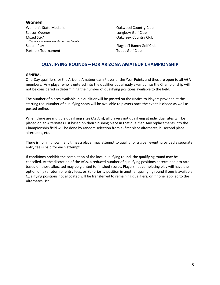### <span id="page-4-0"></span>**Women**

Women's State Medallion **Country Club** Country Club Season Opener **Longbow Golf Club** Mixed Stix\* **Oakcreek Country Club**  *\*Team event with one male and one female* Scotch Play Flagstaff Ranch Golf Club Partners Tournament Tubac Golf Club

## **QUALIFYING ROUNDS – FOR ARIZONA AMATEUR CHAMPIONSHIP**

#### **GENERAL**

One-Day qualifiers for the Arizona Amateur earn Player of the Year Points and thus are open to all AGA members. Any player who is entered into the qualifier but already exempt into the Championship will not be considered in determining the number of qualifying positions available to the field.

The number of places available in a qualifier will be posted on the Notice to Players provided at the starting tee. Number of qualifying spots will be available to players once the event is closed as well as posted online.

When there are multiple qualifying sites (AZ Am), all players not qualifying at individual sites will be placed on an Alternates List based on their finishing place in that qualifier. Any replacements into the Championship field will be done by random selection from a) first place alternates, b) second place alternates, etc.

There is no limit how many times a player may attempt to qualify for a given event, provided a separate entry fee is paid for each attempt.

If conditions prohibit the completion of the local qualifying round, the qualifying round may be cancelled. At the discretion of the AGA, a reduced number of qualifying positions determined pro rata based on those allocated may be granted to finished scores. Players not completing play will have the option of (a) a return of entry fees; or, (b) priority position in another qualifying round if one is available. Qualifying positions not allocated will be transferred to remaining qualifiers; or if none, applied to the Alternates List.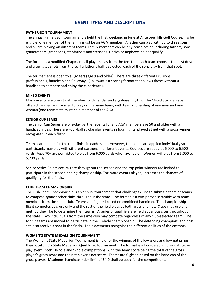## **EVENT TYPES AND DESCRIPTIONS**

#### <span id="page-5-0"></span>**FATHER-SON TOURNAMENT**

The annual Father/Son tournament is held the first weekend in June at Antelope Hills Golf Course. To be eligible, one member of the family must be an AGA member. A father can play with up to three sons and all are playing on different teams. Family members can be any combination including fathers, sons, grandfathers, grandsons, stepfathers and stepsons. Uncles or nephews do not qualify.

The format is a modified Chapman - all players play from the tee, then each team chooses the best drive and alternates shots from there. If a father's ball is selected, each of the sons play from that spot.

The tournament is open to all golfers (age 9 and older). There are three different Divisions: professionals, handicap and Callaway. (Callaway is a scoring format that allows those without a handicap to compete and enjoy the experience).

#### **MIXED EVENTS**

Many events are open to all members with gender and age-based flights. The Mixed Stix is an event offered for men and women to play on the same team, with teams consisting of one man and one woman (one teammate must be a member of the AGA).

#### **SENIOR CUP SERIES**

The Senior Cup Series are one-day partner events for any AGA members age 50 and older with a handicap index. These are Four-Ball stroke play events in four flights, played at net with a gross winner recognized in each flight.

Teams earn points for their net finish in each event. However, the points are applied individually so participants may play with different partners in different events. Courses are set up at 6,000 to 6,500 yards (Ages 70+ are permitted to play from 6,000 yards when available.) Women will play from 5,000 to 5,200 yards.

Senior Series Points accumulate throughout the season and the top point winners are invited to participate in the season-ending championship. The more events played, increases the chances of qualifying for the finals.

#### **CLUB TEAM CHAMPIONSHIP**

The Club Team Championship is an annual tournament that challenges clubs to submit a team or teams to compete against other clubs throughout the state. The format is a two-person scramble with team members from the same club. Teams are flighted based on combined handicap. The championship flight competes at gross only and the rest of the field plays at both gross and net. Clubs may use any method they like to determine their teams. A series of qualifiers are held at various sites throughout the state. Two individuals from the same club may compete regardless of any club-selected team. The top 52 teams are invited to participate in the 18-hole championship. The defending champions and host site also receive a spot in the finals. Tee placements recognize the different abilities of the entrants.

#### **WOMEN'S STATE MEDALLION TOURNAMENT**

The Women's State Medallion Tournament is held for the winners of the low gross and low net prizes in their local club's State Medallion Qualifying Tournament. The format is a two-person individual stroke play event (both 18-hole and 9-hole competitions) with the team score being the total of the gross player's gross score and the net player's net score. Teams are flighted based on the handicap of the gross player. Maximum handicap index limit of 54.0 shall be used for the competitions.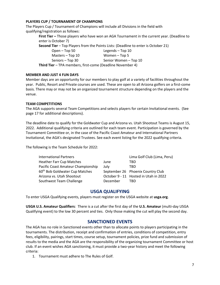#### **PLAYERS CUP / TOURNAMENT OF CHAMPIONS**

The Players Cup / Tournament of Champions will include all Divisions in the field with qualifying/registration as follows:

**First Tier –** Those players who have won an AGA Tournament in the current year. (Deadline to enter is October 7) **Second Tier** – Top Players from the Points Lists: (Deadline to enter is October 21)

Open – Top 50 Legends – Top 10 Masters – Top 10 Women – Top 5 Seniors – Top 30 Senior Women – Top 10 **Third Tier** – TPA members, first-come (Deadline November 4)

#### **MEMBER AND JUST 4 FUN DAYS**

Member days are an opportunity for our members to play golf at a variety of facilities throughout the year. Public, Resort and Private courses are used. These are open to all Arizona golfers on a first-come basis. There may or may not be an organized tournament structure depending on the players and the venue.

#### **TEAM COMPETITIONS**

The AGA supports several Team Competitions and selects players for certain Invitational events. (See page 17 for additional descriptions).

The deadline date to qualify for the Goldwater Cup and Arizona vs. Utah Shootout Teams is August 15, 2022. Additional qualifying criteria are outlined for each team event. Participation is governed by the Tournament Committee or, in the case of the Pacific Coast Amateur and International Partners Invitational, the AGA's designated Trustees. See each event listing for the 2022 qualifying criteria.

The following is the Team Schedule for 2022:

| <b>International Partners</b>              |          | Lima Golf Club (Lima, Peru)           |
|--------------------------------------------|----------|---------------------------------------|
| <b>Heather Farr Cup Matches</b>            | June     | TBD                                   |
| Pacific Coast Amateur Championship         | July     | TBD                                   |
| 60 <sup>th</sup> Bob Goldwater Cup Matches |          | September 26 Phoenix Country Club     |
| Arizona vs. Utah Shootout                  |          | October 9 - 11 Hosted in Utah in 2022 |
| Southwest Team Challenge                   | December | TBD                                   |

#### **USGA QUALIFYING**

To enter USGA Qualifying events, players must register on the USGA website at **usga.org**.

**USGA U.S. Amateur Qualifiers**: There is a cut after the first day of the **U.S. Amateur** (multi-day USGA Qualifying event) to the low 30 percent and ties. Only those making the cut will play the second day.

#### **SANCTIONED EVENTS**

The AGA has no role in Sanctioned events other than to allocate points to players participating in the tournaments. The distribution, receipt and confirmation of entries, conditions of competition, entry fees, eligibility, pairings, start times, course setup, tournament policies, prize fund and submission of results to the media and the AGA are the responsibility of the organizing tournament Committee or host club. If an event wishes AGA sanctioning, it must provide a two-year history and meet the following criteria:

1. Tournament must adhere to The Rules of Golf.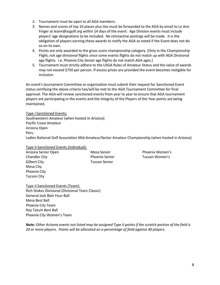- <span id="page-7-0"></span>2. Tournament must be open to all AGA members.
- 3. Names and scores of top 10 places plus ties must be forwarded to the AGA by email to Le Ann Finger at leann@azgolf.org within 14 days of the event. Age Division events must include players' age designations to be included. No retroactive postings will be made. It is the obligation of players earning these awards to notify the AGA as noted if the Event does not do so on its own.
- 4. Points are only awarded to the gross score championship category. (Only in the Championship Flight, not age divisional flights since some events flights do not match up with AGA Divisional age flights. i.e. Phoenix City Senior age flights do not match AGA ages.)
- 5. Tournament must strictly adhere to the USGA Rules of Amateur Status and the value of awards may not exceed \$750 per person. If excess prizes are provided the event becomes ineligible for inclusion.

An event's tournament Committee or organization must submit their request for Sanctioned Event status certifying the above criteria has/will be met to the AGA Tournament Committee for final approval. The AGA will review sanctioned events from year to year to ensure that AGA tournament players are participating in the events and the integrity of the Players of the Year points are being maintained.

Type I Sanctioned Events: Southwestern Amateur (when hosted in Arizona) Pacific Coast Amateur Arizona Open Peru Ladies National Golf Association Mid-Amateur/Senior Amateur Championship (when hosted in Arizona)

Type II Sanctioned Events (Individual):

Arizona Senior Open Mesa Senior Phoenix Women's Chandler City Phoenix Senior Tucson Women's Gilbert City **Tucson Senior** Mesa City Phoenix City Tucson City

Type II Sanctioned Events (Team): Rich Stokes Divisional (Divisional Team Classic) General Jack Blair Four-Ball Mesa Best Ball Phoenix City Team Roy Tatum Best Ball Phoenix City Women's Team

*Note: Other Arizona events not listed may be assigned Type II points if the scratch portion of the field is 20 or more players. Points will be allocated on a percentage of field against 40 players.*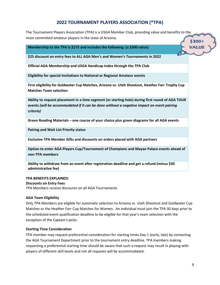## **2022 TOURNAMENT PLAYERS ASSOCIATION (\*TPA)**

<span id="page-8-0"></span>The Tournament Players Association (TPA) is a USGA Member Club, providing value and benefits to the most committed amateur players in the state of Arizona. **\$300+** 

**Membership to the TPA is \$175 and includes the following: (a \$300 value)**

**\$25 discount on entry fees to ALL AGA Men's and Women's Tournaments in 2022**

**Official AGA Membership and USGA Handicap Index through the TPA Club**

**Eligibility for special Invitations to National or Regional Amateur events**

**First eligibility for Goldwater Cup Matches, Arizona vs. Utah Shootout, Heather Farr Trophy Cup Matches Team selection**

**Ability to request placement in a time segment (or starting hole) during first round of AGA TOUR events** *(will be accommodated if it can be done without a negative impact on event pairing criteria)*

**Green Reading Materials – one course of your choice plus green diagrams for all AGA events**

**Pairing and Wait List Priority status**

**Exclusive TPA Member Gifts and discounts on orders placed with AGA partners**

**Option to enter AGA Players Cup/Tournament of Champions and Mayan Palace events ahead of non-TPA members**

**Ability to withdraw from an event after registration deadline and get a refund (minus \$30 administrative fee)**

#### **TPA BENEFITS EXPLAINED:**

#### **Discounts on Entry Fees**

TPA Members receive discounts on all AGA Tournaments

#### **AGA Team Eligibility**

Only TPA Members are eligible for automatic selection to Arizona vs. Utah Shootout and Goldwater Cup Matches or the Heather Farr Cup Matches for Women. An individual must join the TPA 30 days prior to the scheduled event qualification deadline to be eligible for that year's team selection with the exception of the Captain's picks.

#### **Starting Time Consideration**

TPA member may request preferential consideration for starting times Day 1 (early, late) by contacting the AGA Tournament Department prior to the tournament entry deadline. TPA members making requesting a preferential starting time should be aware that such a request may result in playing with players of different skill levels and not all requests will be accommodated.

**VALUE !!**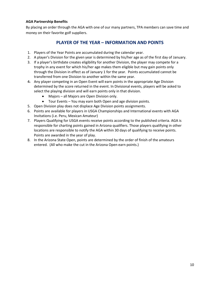#### <span id="page-9-0"></span>**AGA Partnership Benefits**

By placing an order through the AGA with one of our many partners, TPA members can save time and money on their favorite golf suppliers.

## **PLAYER OF THE YEAR – INFORMATION AND POINTS**

- 1. Players of the Year Points are accumulated during the calendar year.
- 2. A player's Division for the given year is determined by his/her age as of the first day of January.
- 3. If a player's birthdate creates eligibility for another Division, the player may compete for a trophy in any event for which his/her age makes them eligible but may gain points only through the Division in effect as of January 1 for the year. Points accumulated cannot be transferred from one Division to another within the same year.
- 4. Any player competing in an Open Event will earn points in the appropriate Age Division determined by the score returned in the event. In Divisional events, players will be asked to select the playing division and will earn points only in that division.
	- Majors all Majors are Open Division only.
	- Tour Events You may earn both Open and age division points.
- 5. Open Division play does not displace Age Division points assignments.
- 6. Points are available for players in USGA Championships and International events with AGA Invitations (i.e. Peru, Mexican Amateur)
- 7. Players Qualifying for USGA events receive points according to the published criteria. AGA is responsible for charting points gained in Arizona qualifiers. Those players qualifying in other locations are responsible to notify the AGA within 30 days of qualifying to receive points. Points are awarded in the year of play.
- 8. In the Arizona State Open, points are determined by the order of finish of the amateurs entered. (All who make the cut in the Arizona Open earn points.)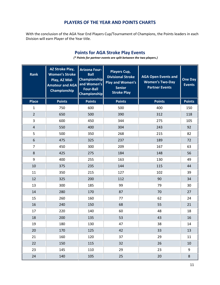## **PLAYERS OF THE YEAR AND POINTS CHARTS**

<span id="page-10-0"></span>With the conclusion of the AGA Year End Players Cup/Tournament of Champions, the Points leaders in each Division will earn Player of the Year title.

## **Points for AGA Stroke Play Events**

*(\* Points for partner events are split between the two players.)*

| <b>Rank</b>    | <b>AZ Stroke Play,</b><br><b>Women's Stroke</b><br>Play, AZ Mid-<br><b>Amateur and AGA</b><br>Championship | <b>Arizona Four-</b><br><b>Ball</b><br>Championship<br>and Women's<br><b>Four-Ball</b><br>Championship | Players Cup,<br><b>Divisional Stroke</b><br><b>Play and Women's</b><br><b>Senior</b><br><b>Stroke Play</b> | <b>AGA Open Events and</b><br><b>Women's Two-Day</b><br><b>Partner Events</b> | <b>One Day</b><br><b>Events</b> |
|----------------|------------------------------------------------------------------------------------------------------------|--------------------------------------------------------------------------------------------------------|------------------------------------------------------------------------------------------------------------|-------------------------------------------------------------------------------|---------------------------------|
| <b>Place</b>   | <b>Points</b>                                                                                              | <b>Points</b>                                                                                          | <b>Points</b>                                                                                              | <b>Points</b>                                                                 | <b>Points</b>                   |
| $\mathbf{1}$   | 750                                                                                                        | 600                                                                                                    | 500                                                                                                        | 400                                                                           | 150                             |
| $\overline{2}$ | 650                                                                                                        | 500                                                                                                    | 390                                                                                                        | 312                                                                           | 118                             |
| 3              | 600                                                                                                        | 450                                                                                                    | 344                                                                                                        | 275                                                                           | 105                             |
| $\overline{4}$ | 550                                                                                                        | 400                                                                                                    | 304                                                                                                        | 243                                                                           | 92                              |
| 5              | 500                                                                                                        | 350                                                                                                    | 268                                                                                                        | 215                                                                           | 82                              |
| 6              | 475                                                                                                        | 325                                                                                                    | 237                                                                                                        | 189                                                                           | 72                              |
| $\overline{7}$ | 450                                                                                                        | 300                                                                                                    | 209                                                                                                        | 167                                                                           | 63                              |
| $\,8\,$        | 425                                                                                                        | 275                                                                                                    | 184                                                                                                        | 148                                                                           | 56                              |
| 9              | 400                                                                                                        | 255                                                                                                    | 163                                                                                                        | 130                                                                           | 49                              |
| 10             | 375                                                                                                        | 235                                                                                                    | 144                                                                                                        | 115                                                                           | 44                              |
| 11             | 350                                                                                                        | 215                                                                                                    | 127                                                                                                        | 102                                                                           | 39                              |
| 12             | 325                                                                                                        | 200                                                                                                    | 112                                                                                                        | 90                                                                            | 34                              |
| 13             | 300                                                                                                        | 185                                                                                                    | 99                                                                                                         | 79                                                                            | 30                              |
| 14             | 280                                                                                                        | 170                                                                                                    | 87                                                                                                         | 70                                                                            | 27                              |
| 15             | 260                                                                                                        | 160                                                                                                    | 77                                                                                                         | 62                                                                            | 24                              |
| 16             | 240                                                                                                        | 150                                                                                                    | 68                                                                                                         | 55                                                                            | 21                              |
| 17             | 220                                                                                                        | 140                                                                                                    | 60                                                                                                         | 48                                                                            | 18                              |
| 18             | 200                                                                                                        | 135                                                                                                    | 53                                                                                                         | 43                                                                            | 16                              |
| 19             | 180                                                                                                        | 130                                                                                                    | 47                                                                                                         | 38                                                                            | 14                              |
| 20             | 170                                                                                                        | 125                                                                                                    | 42                                                                                                         | 33                                                                            | 13                              |
| 21             | 160                                                                                                        | 120                                                                                                    | 37                                                                                                         | 29                                                                            | 11                              |
| 22             | 150                                                                                                        | 115                                                                                                    | 32                                                                                                         | 26                                                                            | 10                              |
| 23             | 145                                                                                                        | 110                                                                                                    | 29                                                                                                         | 23                                                                            | 9                               |
| 24             | 140                                                                                                        | 105                                                                                                    | 25                                                                                                         | 20                                                                            | 8                               |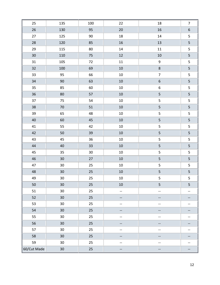| 25          | 135             | 100    | $22\,$     | $18\,$                  | $\overline{7}$ |
|-------------|-----------------|--------|------------|-------------------------|----------------|
| $26\,$      | 130             | 95     | 20         | 16                      | $\overline{6}$ |
| 27          | 125             | 90     | 18         | $14\,$                  | 5              |
| 28          | 120             | 85     | ${\bf 16}$ | $13\,$                  | 5              |
| 29          | 115             | 80     | 14         | $11\,$                  | 5              |
| $30\,$      | 110             | 75     | 12         | 10                      | 5              |
| 31          | 105             | 72     | 11         | $\boldsymbol{9}$        | 5              |
| 32          | 100             | 69     | $10\,$     | $\,8\,$                 | 5              |
| 33          | 95              | 66     | $10\,$     | $\overline{7}$          | 5              |
| 34          | $90\,$          | 63     | $10\,$     | $\sqrt{6}$              | 5              |
| 35          | 85              | 60     | $10\,$     | $\boldsymbol{6}$        | 5              |
| 36          | 80              | 57     | $10\,$     | $\overline{5}$          | 5              |
| 37          | 75              | 54     | $10\,$     | 5                       | 5              |
| 38          | 70              | 51     | $10\,$     | 5                       | 5              |
| 39          | 65              | 48     | $10\,$     | 5                       | 5              |
| 40          | 60              | 45     | $10\,$     | 5                       | 5              |
| 41          | 55              | 42     | $10\,$     | 5                       | 5              |
| 42          | 50              | 39     | $10\,$     | 5                       | 5              |
| 43          | 45              | 36     | $10\,$     | 5                       | 5              |
| $44\,$      | 40              | 33     | $10\,$     | 5                       | 5              |
| 45          | 35              | $30\,$ | $10\,$     | 5                       | 5              |
| 46          | 30 <sub>o</sub> | 27     | $10\,$     | 5                       | 5              |
| 47          | 30 <sub>o</sub> | 25     | $10\,$     | 5                       | 5              |
| 48          | 30 <sub>o</sub> | $25\,$ | $10\,$     | $\overline{\mathbf{5}}$ | 5              |
| 49          | 30 <sub>o</sub> | 25     | $10\,$     | 5                       | 5              |
| 50          | 30              | 25     | $10\,$     | 5                       | 5              |
| 51          | 30              | 25     | --         | --                      | --             |
| 52          | 30              | 25     | --         | --                      |                |
| 53          | 30              | 25     | $-\,$ $-$  | $-\,$                   | --             |
| 54          | 30              | 25     | --         | --                      |                |
| 55          | 30              | 25     | $-\,$ $-$  | --                      | --             |
| 56          | 30              | 25     | --         | --                      |                |
| 57          | 30 <sup>°</sup> | 25     | $-\,$ $-$  | $-\,$                   | --             |
| 58          | 30              | 25     | --         | --                      | --             |
| 59          | 30 <sup>°</sup> | 25     | --         | --                      | --             |
| 60/Cut Made | 30 <sub>o</sub> | 25     | --         | --                      |                |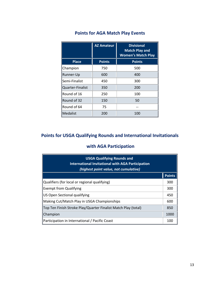|                  | <b>AZ Amateur</b> | <b>Divisional</b><br><b>Match Play and</b><br><b>Women's Match Play</b> |
|------------------|-------------------|-------------------------------------------------------------------------|
| <b>Place</b>     | <b>Points</b>     | <b>Points</b>                                                           |
| Champion         | 750               | 500                                                                     |
| Runner-Up        | 600               | 400                                                                     |
| Semi-Finalist    | 450               | 300                                                                     |
| Quarter-Finalist | 350               | 200                                                                     |
| Round of 16      | 250               | 100                                                                     |
| Round of 32      | 150               | 50                                                                      |
| Round of 64      | 75                |                                                                         |
| Medalist         | 200               | 100                                                                     |

## **Points for AGA Match Play Events**

## **Points for USGA Qualifying Rounds and International Invitationals**

## **with AGA Participation**

| <b>USGA Qualifying Rounds and</b><br><b>International Invitational with AGA Participation</b><br>(highest point value, not cumulative) |               |  |
|----------------------------------------------------------------------------------------------------------------------------------------|---------------|--|
|                                                                                                                                        | <b>Points</b> |  |
| Qualifiers (for local or regional qualifying)                                                                                          | 300           |  |
| <b>Exempt from Qualifying</b>                                                                                                          | 300           |  |
| US Open Sectional qualifying                                                                                                           | 450           |  |
| Making Cut/Match Play in USGA Championships                                                                                            | 600           |  |
| Top Ten Finish Stroke Play/Quarter Finalist Match Play (total)                                                                         | 850           |  |
| Champion                                                                                                                               | 1000          |  |
| Participation in International / Pacific Coast                                                                                         | 100           |  |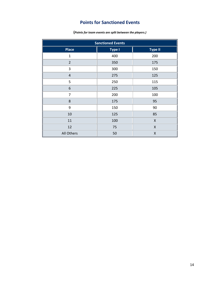## **Points for Sanctioned Events**

**(***Points for team events are split between the players.)*

| <b>Sanctioned Events</b> |        |                    |  |
|--------------------------|--------|--------------------|--|
| <b>Place</b>             | Type I | <b>Type II</b>     |  |
| $\mathbf{1}$             | 400    | 200                |  |
| $\overline{2}$           | 350    | 175                |  |
| 3                        | 300    | 150                |  |
| $\pmb{4}$                | 275    | 125                |  |
| 5                        | 250    | 115                |  |
| 6                        | 225    | 105                |  |
| $\overline{7}$           | 200    | 100                |  |
| 8                        | 175    | 95                 |  |
| 9                        | 150    | 90                 |  |
| 10                       | 125    | 85                 |  |
| 11                       | 100    | $\mathsf X$        |  |
| 12                       | 75     | $\pmb{\mathsf{X}}$ |  |
| All Others               | 50     | $\pmb{\mathsf{X}}$ |  |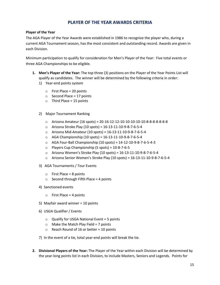## **PLAYER OF THE YEAR AWARDS CRITERIA**

#### <span id="page-14-0"></span>**Player of the Year**

The AGA Player of the Year Awards were established in 1986 to recognize the player who, during a current AGA Tournament season, has the most consistent and outstanding record. Awards are given in each Division.

Minimum participation to qualify for consideration for Men's Player of the Year: Five total events or three AGA Championships to be eligible.

- **1. Men's Player of the Year:** The top three (3) positions on the Player of the Year Points List will qualify as candidates. The winner will be determined by the following criteria in order:
	- 1) Year-end points system
		- $\circ$  First Place = 20 points
		- $\circ$  Second Place = 17 points
		- $\circ$  Third Place = 15 points
	- 2) Major Tournament Ranking
		- o Arizona Amateur (16 spots) = 20-16-12-12-10-10-10-10-10-8-8-8-8-8-8-8
		- o Arizona Stroke Play (10 spots) = 16-13-11-10-9-8-7-6-5-4
		- o Arizona Mid-Amateur (10 spots) = 16-13-11-10-9-8-7-6-5-4
		- o AGA Championship (10 spots) = 16-13-11-10-9-8-7-6-5-4
		- o AGA Four-Ball Championship (10 spots) = 14-12-10-9-8-7-6-5-4-3
		- $\circ$  Players Cup Championship (5 spots) = 10-8-7-6-5
		- o Arizona Women's Stroke Play (10 spots) = 16-13-11-10-9-8-7-6-5-4
		- o Arizona Senior Women's Stroke Play (10 spots) = 16-13-11-10-9-8-7-6-5-4
	- 3) AGA Tournaments / Tour Events
		- $\circ$  First Place = 8 points
		- $\circ$  Second through Fifth Place = 4 points
	- 4) Sanctioned events
		- $\circ$  First Place = 4 points
	- 5) Mayfair award winner = 10 points
	- 6) USGA Qualifier / Events
		- o Qualify for USGA National Event = 5 points
		- $\circ$  Make the Match Play Field = 7 points
		- $\circ$  Reach Round of 16 or better = 10 points
	- 7) In the event of a tie, total year-end points will break the tie.
- **2. Divisional Players of the Year:** The Player of the Year within each Division will be determined by the year-long points list in each Division, to include Masters, Seniors and Legends. Points for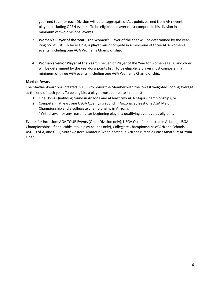year-end total for each Division will be an aggregate of ALL points earned from ANY event played, including OPEN events. To be eligible, a player must compete in his division in a minimum of two divisional events.

- **3. Women's Player of the Year:** The Women's Player of the Year will be determined by the yearlong points list. To be eligible, a player must compete in a minimum of three AGA women's events, including one AGA Women's Championship.
- **4. Women's Senior Player of the Year:** The Senior Player of the Year for women age 50 and older will be determined by the year-long points list. To be eligible, a player must compete in a minimum of three AGA events, including one AGA Women's Championship.

#### **Mayfair Award**

The Mayfair Award was created in 1988 to honor the Member with the lowest weighted scoring average at the end of each year. To be eligible, a player must complete in at least:

- 1) One USGA Qualifying round in Arizona and at least two AGA Major Championships; or
- 2) Compete in at least one USGA Qualifying round in Arizona, at least one AGA Major Championship and a collegiate championship in Arizona. \*Withdrawal for any reason after beginning play in a qualifying event voids eligibility.

Events for inclusion: AGA TOUR Events (Open Division only), USGA Qualifiers hosted in Arizona, USGA Championships (if applicable, stoke play rounds only), Collegiate Championships of Arizona Schools: ASU, U of A, and GCU; Southwestern Amateur (when hosted in Arizona); Pacific Coast Amateur; Arizona Open.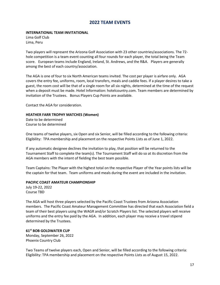## **2022 TEAM EVENTS**

#### <span id="page-16-0"></span>**INTERNATIONAL TEAM INVITATIONAL**

Lima Golf Club Lima, Peru

Two players will represent the Arizona Golf Association with 23 other countries/associations. The 72 hole competition is a team event counting all four rounds for each player, the total being the Team score. European teams include England, Ireland, St. Andrews, and the R&A. Players are generally among the best of each country/association.

The AGA is one of four to six North American teams invited. The cost per player is airfare only. AGA covers the entry fee, uniforms, room, local transfers, meals and caddie fees. If a player desires to take a guest, the room cost will be that of a single room for all six nights, determined at the time of the request when a deposit must be made. Hotel Information: hotelcountry.com. Team members are determined by invitation of the Trustees. Bonus Players Cup Points are available.

Contact the AGA for consideration.

#### **HEATHER FARR TROPHY MATCHES (Women)**

Date to be determined Course to be determined

One teams of twelve players, six Open and six Senior, will be filled according to the following criteria: Eligibility: TPA membership and placement on the respective Points Lists as of June 1, 2022.

If any automatic designee declines the invitation to play, that position will be returned to the Tournament Staff to complete the team(s). The Tournament Staff will do so at its discretion from the AGA members with the intent of fielding the best team possible.

Team Captains: The Player with the highest total on the respective Player of the Year points lists will be the captain for that team. Team uniforms and meals during the event are included in the invitation.

#### **PACIFIC COAST AMATEUR CHAMPIONSHIP**

July 19-22, 2022 Course TBD

The AGA will host three players selected by the Pacific Coast Trustees from Arizona Association members. The Pacific Coast Amateur Management Committee has directed that each Association field a team of their best players using the WAGR and/or Scratch Players list. The selected players will receive uniforms and the entry fee paid by the AGA. In addition, each player may receive a travel stipend determined by the Trustees.

#### **61 st BOB GOLDWATER CUP**

Monday, September 26, 2022 Phoenix Country Club

Two Teams of twelve players each, Open and Senior, will be filled according to the following criteria: Eligibility: TPA membership and placement on the respective Points Lists as of August 15, 2022.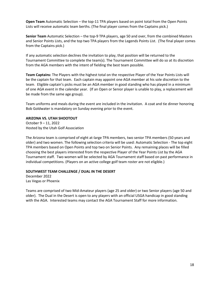**Open Team** Automatic Selection – the top-11 TPA players based on point total from the Open Points Lists will receive automatic team berths. (The final player comes from the Captains pick.)

**Senior Team** Automatic Selection – the top-9 TPA players, age 50 and over, from the combined Masters and Senior Points Lists, and the top two TPA players from the Legends Points List. (The final player comes from the Captains pick.)

If any automatic selection declines the invitation to play, that position will be returned to the Tournament Committee to complete the team(s). The Tournament Committee will do so at its discretion from the AGA members with the intent of fielding the best team possible.

**Team Captains:** The Players with the highest total on the respective Player of the Year Points Lists will be the captain for that team. Each captain may appoint one AGA member at his sole discretion to the team. Eligible captain's picks must be an AGA member in good standing who has played in a minimum of one AGA event in the calendar year. (If an Open or Senior player is unable to play, a replacement will be made from the same age group).

Team uniforms and meals during the event are included in the invitation. A coat and tie dinner honoring Bob Goldwater is mandatory on Sunday evening prior to the event.

#### **ARIZONA VS. UTAH SHOOTOUT**

October 9 – 11, 2022 Hosted by the Utah Golf Association

The Arizona team is comprised of eight at-large TPA members, two senior TPA members (50 years and older) and two women. The following selection criteria will be used: Automatic Selection - The top eight TPA members based on Open Points and top two on Senior Points. Any remaining places will be filled choosing the best players interested from the respective Player of the Year Points List by the AGA Tournament staff. Two women will be selected by AGA Tournament staff based on past performance in individual competitions. (Players on an active college golf team roster are not eligible.)

#### **SOUTHWEST TEAM CHALLENGE / DUAL IN THE DESERT**

December 2022 Las Vegas or Phoenix

Teams are comprised of two Mid-Amateur players (age 25 and older) or two Senior players (age 50 and older). The Dual in the Desert is open to any players with an official USGA handicap in good standing with the AGA. Interested teams may contact the AGA Tournament Staff for more information.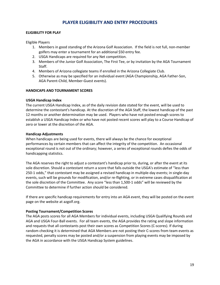## **PLAYER ELIGIBILITY AND ENTRY PROCEDURES**

#### <span id="page-18-0"></span>**ELIGIBILITY FOR PLAY**

Eligible Players

- 1. Members in good standing of the Arizona Golf Association. If the field is not full, non-member golfers may enter a tournament for an additional \$50 entry fee.
- 2. USGA Handicaps are required for any Net competition.
- 3. Members of the Junior Golf Association, The First Tee, or by invitation by the AGA Tournament Staff.
- 4. Members of Arizona collegiate teams if enrolled in the Arizona Collegiate Club.
- 5. Otherwise as may be specified for an individual event (AGA Championship, AGA Father-Son, AGA Parent-Child, Member-Guest events).

#### **HANDICAPS AND TOURNAMENT SCORES**

#### **USGA Handicap Index**

The current USGA Handicap Index, as of the daily revision date stated for the event, will be used to determine the contestant's handicap. At the discretion of the AGA Staff, the lowest handicap of the past 12 months or another determination may be used. Players who have not posted enough scores to establish a USGA Handicap Index or who have not posted recent scores will play to a Course Handicap of zero or lower at the discretion of the AGA.

#### **Handicap Adjustments**

When handicaps are being used for events, there will always be the chance for exceptional performances by certain members that can affect the integrity of the competition. An occasional exceptional round is not out of the ordinary; however, a series of exceptional rounds defies the odds of handicapping statistics.

The AGA reserves the right to adjust a contestant's handicap prior to, during, or after the event at its sole discretion. Should a contestant return a score that falls outside the USGA's estimate of "less than 250-1 odds," that contestant may be assigned a revised handicap in multiple-day events; in single-day events, such will be grounds for modification, and/or re-flighting, or in extreme cases disqualification at the sole discretion of the Committee. Any score "less than 1,500-1 odds" will be reviewed by the Committee to determine if further action should be considered.

If there are specific handicap requirements for entry into an AGA event, they will be posted on the event page on the website at azgolf.org.

#### **Posting Tournament/Competition Scores**

The AGA posts scores for all AGA Members for individual events, including USGA Qualifying Rounds and AGA and USGA Four-Ball events. For all team events, the AGA provides the rating and slope information and requests that all contestants post their own scores as Competition Scores (C-scores). If during random checking it is determined that AGA Members are not posting their C-scores from team events as requested, penalty scores may be posted and/or a suspension from playing events may be imposed by the AGA in accordance with the USGA Handicap System guidelines.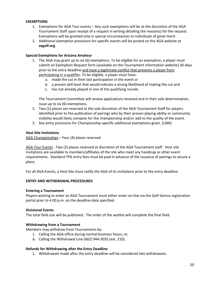#### **EXEMPTIONS**

- 1. Exemptions for AGA Tour events Any such exemptions will be at the discretion of the AGA Tournament Staff upon receipt of a request in writing detailing the reason(s) for the request. Exemptions will be granted only in special circumstances to individuals of great merit.
- 2. Additional exemption provisions for specific events will be posted on the AGA website at **[azgolf.org](http://www.azgolf.org/)**.

#### **Special Exemptions for Arizona Amateur**

- 1. The AGA may grant up to six (6) exemptions. To be eligible for an exemption, a player must submit an Exemption Request form (available on the Tournament Information website) 30 days prior to the entry deadline and have a legitimate conflict that prevents a player from participating in a qualifier. To be eligible, a player must have:
	- a. made the cut in their last participation in the event or
	- b. a proven skill level that would indicate a strong likelihood of making the cut and
	- c. has not already played in one of the qualifying rounds.

The Tournament Committee will review applications received and in their sole determination, issue up to six (6) exemptions.

- 2. Two (2) places are reserved at the sole discretion of the AGA Tournament Staff for players identified prior to the publication of pairings who by their proven playing ability or community visibility would likely compete for the championship and/or add to the quality of the event.
- 3. See entry provisions for Championship-specific additional exemptions given. [LINK]

#### **Host Site Invitations**

AGA Championships – Four (4) places reserved

AGA Tour Events - Two (2) places reserved at discretion of the AGA Tournament staff. Host site invitations are available to members/affiliates of the site who meet any handicap or other event requirements. Standard TPA entry fees must be paid in advance of the issuance of pairings to secure a place.

For all AGA Events, a Host Site must notify the AGA of its invitations prior to the entry deadline.

#### **ENTRY AND WITHDRAWAL PROCEDURES**

#### **Entering a Tournament**

Players wishing to enter an AGA Tournament must either enter on-line via the Golf Genius registration portal prior to 4:00 p.m. on the deadline date specified.

#### **Divisional Events**

The total field size will be published. The order of the waitlist will complete the final field.

#### **Withdrawing from a Tournament**

Members may withdraw from Tournaments by:

- 1. Calling the AGA office during normal business hours; or,
- 2. Calling the Withdrawal Line (602) 944-3035 (ext. 210).

#### **Refunds for Withdrawing after the Entry Deadline**

1. Withdrawals made after the entry deadline will be considered late withdrawals.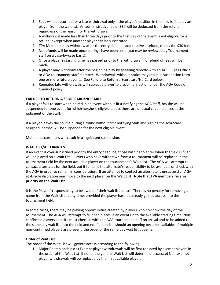- 2. Fees will be returned for a late withdrawal only if the player's position in the field is filled by an player from the wait list. An administrative fee of \$30 will be deducted from the refund, regardless of the reason for the withdrawal.
- 3. A withdrawal made less than three days prior to the first day of the event is not eligible for a refund (except when another player can be substituted).
- 4. TPA Members may withdraw after the entry deadline and receive a refund, minus the \$30 fee.
- 5. No refunds will be made once pairings have been sent, (but may be reviewed by Tournament staff on a case-by-case basis).
- 6. Once a player's starting time has passed prior to the withdrawal, no refund of fees will be made.
- 7. A player may withdraw after the beginning play by speaking directly with an AzRC Rules Official or AGA tournament staff member. Withdrawals without notice may result in suspension from one or more future events. See Failure to Return a Scorecard/No Card below.
- 8. Repeated late withdrawals will subject a player to disciplinary action under the AGA Code of Conduct policy.

#### **FAILURE TO RETURN A SCORECARD/NO CARD**

If a player fails to start when paired in an event without first notifying the AGA Staff, he/she will be suspended for one event for which he/she is eligible unless there are unusual circumstances at the judgment of the Staff.

If a player leaves the course during a round without first notifying Staff and signing the scorecard assigned, he/she will be suspended for the next eligible event.

Multiple occurrences will result in a significant suspension.

#### **WAIT LIST/ALTERNATES**

If an event is over-subscribed prior to the entry deadline, those wishing to enter when the field is filled will be placed on a Wait List. Players who have withdrawn from a tournament will be replaced in the tournament field by the next available player on the tournament's Wait List. The AGA will attempt to contact alternates for the field, but it remains the alternate's responsibility to be available or check with the AGA in order to remain in consideration. If an attempt to contact an alternate is unsuccessful, AGA at its sole discretion may move to the next player on the Wait List. **Note that TPA members receive priority on the Wait List.**

It is the Players' responsibility to be aware of their wait list status. There is no penalty for removing a name from the Wait List at any time, provided the player has not already gained access into the tournament field.

In some cases, there may be playing opportunities created by players who no-show the day of the tournament. The AGA will attempt to fill open places in an event up to the available starting time. Nonconfirmed players at a site must check in with the AGA tournament staff on arrival and to be added to the same day wait list into the field and notified onsite, should an opening become available. If multiple non-confirmed players are present, the order of the same day wait list governs.

#### **Order of Wait List**

The order of the Wait List will govern access according to the following:

1. Major Championships: a) Exempt player withdrawals will be first replaced by exempt players in the order of the Wait List; if none, the general Wait List will determine access; b) Non-exempt player withdrawals will be replaced by the first available player.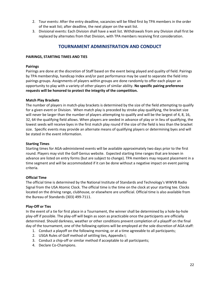- <span id="page-21-0"></span>2. Tour events: After the entry deadline, vacancies will be filled first by TPA members in the order of the wait list; after deadline, the next player on the wait list.
- 3. Divisional events: Each Division shall have a wait list. Withdrawals from any Division shall first be replaced by alternates from that Division, with TPA members receiving first consideration.

## **TOURNAMENT ADMINISTRATION AND CONDUCT**

#### **PAIRINGS, STARTING TIMES AND TIES**

#### **Pairings**

Pairings are done at the discretion of Staff based on the event being played and quality of field. Pairings by TPA membership, handicap Index and/or past performance may be used to separate the field into pairings groups. Assignments of players within groups are done randomly to offer each player an opportunity to play with a variety of other players of similar ability. **No specific pairing preference requests will be honored to protect the integrity of the competition.**

#### **Match Play Brackets**

The number of players in match-play brackets is determined by the size of the field attempting to qualify for a given event or Division. When match play is preceded by stroke-play qualifying, the bracket size will never be larger than the number of players attempting to qualify and will be the largest of 4, 8, 16, 32, 64 the qualifying field allows. When players are seeded in advance of play or in lieu of qualifying, the lowest seeds will receive byes in the first match play round if the size of the field is less than the bracket size. Specific events may provide an alternate means of qualifying players or determining byes and will be stated in the event information.

#### **Starting Times**

Starting times for AGA-administered events will be available approximately two days prior to the first round. Players may visit the Golf Genius website. Expected starting time ranges that are known in advance are listed on entry forms (but are subject to change). TPA members may request placement in a time segment and will be accommodated if it can be done without a negative impact on event pairing criteria.

#### **Official Time**

The official time is determined by the National Institute of Standards and Technology's WWVB Radio Signal from the USA Atomic Clock. The official time is the time on the clock at your starting tee. Clocks located on the driving range, clubhouse, or elsewhere are unofficial. Official time is also available from the Bureau of Standards (303) 499-7111.

#### **Play-Off or Ties**

In the event of a tie for first place in a Tournament, the winner shall be determined by a hole-by-hole play-off if possible. The play-off will begin as soon as practicable once the participants are officially determined. Should darkness, weather or other conditions prevent completion of a playoff on the final day of the tournament, one of the following options will be employed at the sole discretion of AGA staff:

- 1. Conduct a playoff on the following morning, or at a time agreeable to all participants;
- 2. USGA Rules of Golf method of settling ties, Appendix I;
- 3. Conduct a chip-off or similar method if acceptable to all participants;
- 4. Declare Co-Champions.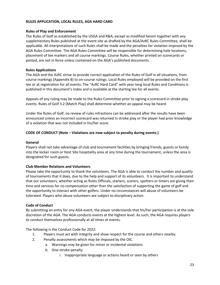#### **RULES APPLICATION, LOCAL RULES, AGA HARD CARD**

#### **Rules of Play and Enforcement**

The Rules of Golf as established by the USGA and R&A, except as modified herein together with any supplementary Rules published at the event site as drafted by the AGA/AzRC Rules Committee, shall be applicable. All interpretations of such Rules shall be made and the penalties for violation imposed by the AGA Rules Committee. The AGA Rules Committee will be responsible for determining hole locations, placement of tee markers and all course markings. Course Rules, whether printed on scorecards or posted, are not in force unless contained on the AGA's published documents.

#### **Rules Applications**

The AGA and the AzRC strive to provide correct application of the Rules of Golf in all situations, from course markings (Appendix B) to on-course rulings. Local Rules employed will be provided on the first tee or at registration for all events. The "AzRC Hard Card" with year-long local Rules and Conditions is published in this document's Index and is available at the starting tee for all events.

Appeals of any ruling may be made to the Rules Committee prior to signing a scorecard in stroke play events. Rules of Golf 3.2 (Match Play) shall determine whether an appeal may be heard.

Under the Rules of Golf, no review of rules infractions can be addressed after the results have been announced unless an incorrect scorecard was returned in stroke play or the player had prior knowledge of a violation that was not included in his/her score.

#### **CODE OF CONDUCT (Note – Violations are now subject to penalty during events.)**

#### **General**

Players shall not take advantage of club and tournament facilities by bringing friends, guests or family into the locker room or Host Site hospitality area at any time during the tournament, unless the area is designated for such guests.

#### **Club Member Relations and Volunteers**

Please take the opportunity to thank the volunteers. The AGA is able to conduct the number and quality of tournaments that it does, due to the help and support of its volunteers. It is important to understand that our volunteers, whether acting as Rules Officials, starters, scorers, spotters or timers are giving their time and services for no compensation other than the satisfaction of supporting the game of golf and the opportunity to interact with other golfers. Under no circumstances will abuse of volunteers be tolerated. Players who abuse volunteers are subject to disciplinary action.

#### **Code of Conduct**

By submitting an entry for any AGA event, the player understands that his/her participation is at the sole discretion of the AGA. The AGA conducts events at the highest level. As such, the AGA requires players to conduct themselves professionally at all times at events.

The following is the Conduct Code for 2022:

- 1. Players must act with integrity and show respect for the course and others nearby.
- 2. Penalty assessments which may be imposed by the OIC.
	- a. Warnings may be given for minor or incidental violations
	- b. One-stroke penalty
		- i. Inappropriate language or actions heard or seen by others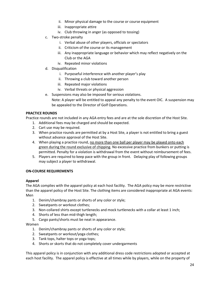- ii. Minor physical damage to the course or course equipment
- iii. Inappropriate attire
- iv. Club throwing in anger (as opposed to tossing)
- c. Two-stroke penalty
	- i. Verbal abuse of other players, officials or spectators
	- ii. Criticism of the course or its management
	- iii. Any inappropriate language or behavior which may reflect negatively on the Club or the AGA
	- iv. Repeated minor violations
- d. Disqualification
	- i. Purposeful interference with another player's play
	- ii. Throwing a club toward another person
	- iii. Repeated major violations
	- iv. Verbal threats or physical aggression
- e. Suspensions may also be imposed for serious violations.

Note: A player will be entitled to appeal any penalty to the event OIC. A suspension may be appealed to the Director of Golf Operations.

#### **PRACTICE ROUNDS**

Practice rounds are not included in any AGA entry fees and are at the sole discretion of the Host Site.

- 1. Additional fees may be charged and should be expected.
- 2. Cart use may be required.
- 3. When practice rounds are permitted at by a Host Site, a player is not entitled to bring a guest without advance approval of the Host Site.
- 4. When playing a practice round, no more than one ball per player may be played onto each green during the round exclusive of chipping. No excessive practice from bunkers or putting is permitted. Penalty for a violation is withdrawal from the event without reimbursement of fees.
- 5. Players are required to keep pace with the group in front. Delaying play of following groups may subject a player to withdrawal.

#### **ON-COURSE REQUIREMENTS**

#### **Apparel**

The AGA complies with the apparel policy at each host facility. The AGA policy may be more restrictive than the apparel policy of the Host Site. The clothing items are considered inappropriate at AGA events: Men

- 1. Denim/chambray pants or shorts of any color or style;
- 2. Sweatpants or workout clothes;
- 3. Non-collared shirts except turtlenecks and mock turtlenecks with a collar at least 1 inch;
- 4. Shorts of less than mid-thigh length;
- 5. Cargo pants/shorts must be neat in appearance.

#### Women

- 1. Denim/chambray pants or shorts of any color or style;
- 2. Sweatpants or workout/yoga clothes;
- 3. Tank tops, halter tops or yoga tops;
- 4. Shorts or skorts that do not completely cover undergarments

This apparel policy is in conjunction with any additional dress code restrictions adopted or accepted at each host facility. The apparel policy is effective at all times while by players, while on the property of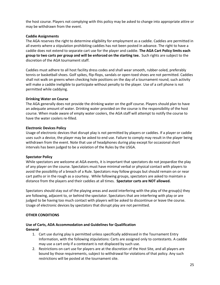the host course. Players not complying with this policy may be asked to change into appropriate attire or may be withdrawn from the event.

#### **Caddie Assignments**

The AGA reserves the right to determine eligibility for employment as a caddie. Caddies are permitted in all events where a stipulation prohibiting caddies has not been posted in advance. The right to have a caddie does not extend to separate cart use for the player and caddie. **The AGA Cart Policy limits each group to two carts per group and will be enforced on the starting tee.** Such rights are subject to the discretion of the AGA tournament staff.

Caddies must adhere to all host facility dress codes and shall wear smooth, rubber-soled, preferably tennis or basketball shoes. Golf spikes, flip-flops, sandals or open-toed shoes are not permitted. Caddies shall not walk on greens when checking hole positions on the day of a tournament round; such activity will make a caddie ineligible to participate without penalty to the player. Use of a cell phone is not permitted while caddying.

#### **Drinking Water on Course**

The AGA generally does not provide the drinking water on the golf course. Players should plan to have an adequate amount of water. Drinking water provided on the course is the responsibility of the host course. When made aware of empty water coolers, the AGA staff will attempt to notify the course to have the water coolers re-filled.

#### **Electronic Devices Policy**

Usage of electronic devices that disrupt play is not permitted by players or caddies. If a player or caddie uses such a device, the player may be asked to end use. Failure to comply may result in the player being withdrawn from the event. Note that use of headphones during play except for occasional short intervals has been judged to be a violation of the Rules by the USGA.

#### **Spectator Policy**

While spectators are welcome at AGA events, it is important that spectators do not jeopardize the play of any player on the course. Spectators must have minimal verbal or physical contact with players to avoid the possibility of a breach of a Rule. Spectators may follow groups but should remain on or near cart paths or in the rough as a courtesy. While following groups, spectators are asked to maintain a distance from the players and their caddies at all times. **Spectator carts are NOT allowed.**

Spectators should stay out of the playing areas and avoid interfering with the play of the group(s) they are following, adjacent to, or behind the spectator. Spectators that are interfering with play or are judged to be having too much contact with players will be asked to discontinue or leave the course. Usage of electronic devices by spectators that disrupt play are not permitted.

#### **OTHER CONDITIONS**

#### **Use of Carts, ADA Accommodation and Guidelines for Qualification General**

- 1. Cart use during play is permitted unless specifically addressed in the Tournament Entry Information, with the following stipulations: Carts are assigned only to contestants. A caddie may use a cart only if a contestant is not displaced by such use.
- 2. Restrictions on cart use for players are at the discretion of the Host Site, and all players are bound by those requirements, subject to withdrawal for violations of that policy. Any such restrictions will be posted at the tournament site.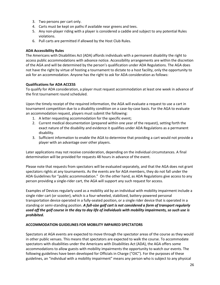- 3. Two persons per cart only.
- 4. Carts must be kept on paths if available near greens and tees.
- 5. Any non-player riding with a player is considered a caddie and subject to any potential Rules violations.
- 6. Pull carts are permitted if allowed by the Host Club Rules.

#### **ADA Accessibility Rules**

The Americans with Disabilities Act (ADA) affords individuals with a permanent disability the right to access public accommodations with advance notice. Accessibility arrangements are within the discretion of the AGA and will be determined by the person's qualification under ADA Regulations. The AGA does not have the right by virtue of hosting a tournament to dictate to a host facility, only the opportunity to ask for an accommodation. Anyone has the right to ask for ADA consideration as follows:

#### **Qualifications for ADA ACCESS**

To qualify for ADA consideration, a player must request accommodation at least one week in advance of the first tournament round scheduled.

Upon the timely receipt of the required information, the AGA will evaluate a request to use a cart in tournament competition due to a disability condition on a case-by-case basis. For the AGA to evaluate an accommodation request, players must submit the following:

- 1. A letter requesting accommodation for the specific event;
- 2. Current medical documentation (prepared within one year of the request), setting forth the exact nature of the disability and evidence it qualifies under ADA Regulations as a permanent disability.
- 3. Sufficient information to enable the AGA to determine that providing a cart would not provide a player with an advantage over other players.

Later applications may not receive consideration, depending on the individual circumstances. A final determination will be provided for requests 48 hours in advance of the event.

Please note that requests from spectators will be evaluated separately, and that the AGA does not grant spectators rights at any tournaments. As the events are for AGA members, they do not fall under the ADA Guidelines for "public accommodation." On the other hand, as ADA Regulations give access to any person providing a single-rider cart, the AGA will support any such request for access.

Examples of Devices regularly used as a mobility aid by an individual with mobility impairment include a single rider cart (or scooter), which is a four-wheeled, stabilized, battery-powered personal transportation device operated in a fully-seated position, or a single rider device that is operated in a standing or semi-standing position. *A full-size golf cart is not considered a form of transport regularly used off the golf course in the day to day life of individuals with mobility impairments, so such use is prohibited.*

#### **ACCOMMODATION GUIDELINES FOR MOBILITY IMPAIRED SPECTATORS**

Spectators at AGA events are expected to move through the spectator areas of the course as they would in other public venues. This means that spectators are expected to walk the course. To accommodate spectators with disabilities under the Americans with Disabilities Act (ADA), the AGA offers some accommodations to allow guests with mobility impairments the opportunity to watch our events. The following guidelines have been developed for Officials in Charge ("OIC"). For the purposes of these guidelines, an "individual with a mobility impairment" means any person who is subject to any physical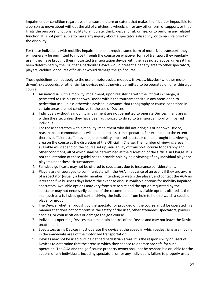impairment or condition regardless of its cause, nature or extent that makes it difficult or impossible for a person to move about without the aid of crutches, a wheelchair or any other form of support, or that limits the person's functional ability to ambulate, climb, descend, sit, or rise, or to perform any related function. It is not permissible to make any inquiry about a spectator's disability, or to require proof of the disability.

For those individuals with mobility impairments that require some form of motorized transport, they will generally be permitted to move through the course on whatever form of transport they regularly use if they have brought their motorized transportation device with them as noted above, unless it has been determined by the OIC that a particular Device would present a penalty area to other spectators, players, caddies, or course officials or would damage the golf course.

These guidelines do not apply to the use of motorcycles, mopeds, tricycles, bicycles (whether motordriven), skateboards, or other similar devices not otherwise permitted to be operated on or within a golf course.

- 1. An individual with a mobility impairment, upon registering with the Official in Charge, is permitted to use his or her own Device within the tournament site in any areas open to pedestrian use, unless otherwise advised in advance that topography or course conditions in certain areas are not conducive to the use of Devices.
- 2. Individuals without a mobility impairment are not permitted to operate Devices in any areas within the site, unless they have been authorized to do so to transport a mobility impaired individual.
- 3. For those spectators with a mobility impairment who did not bring his or her own Device, reasonable accommodations will be made to assist the spectator. For example, to the extent there is sufficient staff at events, the mobility impaired spectator can be brought to a viewing area on the course at the discretion of the Official in Charge. The number of viewing areas available will depend on the course set up, availability of transport, course topography and other conditions, all of which shall be determined at the discretion of the Official in Charge. It is not the intention of these guidelines to provide hole by hole viewing of any individual player or players under these circumstances.
- 4. Full sized golf carts may not be offered to spectators due to insurance considerations.
- 5. Players are encouraged to communicate with the AGA in advance of an event if they are aware of a spectator (usually a family member) intending to watch the player, and contact the AGA no later than five business days before the event to discuss available options for mobility impaired spectators. Available options may vary from site to site and the option requested by the spectator may not necessarily be one of the recommended or available options offered at the site (such as a full-sized golf cart or driving the individual from hole to hole to watch a specific player or group
- 6. The Device, whether brought by the spectator or provided on the course, must be operated in a manner that does not compromise the safety of the user, other attendees, spectators, players, caddies, or course officials or damage the golf course.
- 7. Individuals operating Devices must maintain control of the Device and may not leave the Device unattended.
- 8. Spectators using Devices must operate the device at the speed in which pedestrians are moving in the immediate area of the motorized transportation.
- 9. Devices may not be used outside defined pedestrian areas. It is the responsibility of users of Devices to determine that the areas in which they choose to operate are safe for such operation. The AGA and the golf course property owner shall not be responsible or liable for the actions of any individuals, including spectators, or for any individual's failure to properly use a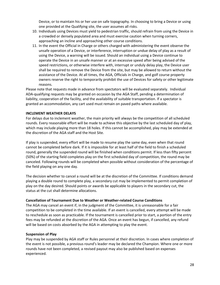Device, or to maintain his or her use on safe topography. In choosing to bring a Device or using one provided at the Qualifying site, the user assumes all risks.

- 10. Individuals using Devices must yield to pedestrian traffic, should refrain from using the Device in a crowded or densely populated area and must exercise caution when turning corners, approaching an incline and approaching other course conditions.
- 11. In the event the Official in Charge or others charged with administering the event observe the unsafe operation of a Device, or interference, interruption or undue delay of play as a result of using the Device, a warning will be issued. Should an individual using a Device continue to operate the Device in an unsafe manner or at an excessive speed after being advised of the speed restrictions, or otherwise interfere with, interrupt or unduly delay play, the Device user shall be required to remove the Device from the site, but may be allowed to return without the assistance of the Device. At all times, the AGA, Officials in Charge, and golf course property owners reserve the right to temporarily prohibit the use of Devices for safety or other legitimate reasons.

Please note that requests made in advance from spectators will be evaluated separately. Individual ADA-qualifying requests may be granted on occasion by the AGA Staff, pending a determination of liability, cooperation of the facility, and the availability of suitable transportation. If a spectator is granted an accommodation, any cart used must remain on paved paths where available.

#### **INCLEMENT WEATHER DELAYS**

For delays due to inclement weather, the main priority will always be the competition of all scheduled rounds. Every reasonable effort will be made to achieve this objective by the last scheduled day of play, which may include playing more than 18 holes. If this cannot be accomplished, play may be extended at the discretion of the AGA staff and the Host Site.

If play is suspended, every effort will be made to resume play the same day, even when that round cannot be completed before dark. If it is impossible for at least half of the field to finish a scheduled round, generally the suspended round will be finished when conditions permit. If less than fifty percent (50%) of the starting field completes play on the first scheduled day of competition, the round may be canceled. Following rounds will be completed when possible without consideration of the percentage of the field playing on any one day.

The decision whether to cancel a round will be at the discretion of the Committee. If conditions demand playing a double round to complete play, a secondary cut may be implemented to permit completion of play on the day desired. Should points or awards be applicable to players in the secondary cut, the status at the cut shall determine allocations.

#### **Cancellation of Tournament Due to Weather or Weather-related Course Conditions**

The AGA may cancel an event if, in the judgment of the Committee, it is unreasonable for a fair competition to be completed in the time available. If an event is cancelled, every attempt will be made to reschedule as soon as practicable. If the tournament is cancelled prior to start, a portion of the entry fees may be refunded at the discretion of the AGA. Once an event has begun, if cancelled, any refund will be based on costs absorbed by the AGA in attempting to play the event.

#### **Suspension of Play**

Play may be suspended by AGA staff or Rules personnel at their discretion. In cases where completion of the event is not possible, a previous round's leader may be declared the Champion. Where one or more rounds have not been completed, a revised payout may also be published based on expenses experienced.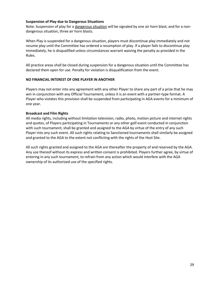#### **Suspension of Play due to Dangerous Situations**

Note: Suspension of play for a dangerous situation will be signaled by one air horn blast; and for a nondangerous situation, three air horn blasts.

When Play is suspended for a dangerous situation, players must discontinue play immediately and not resume play until the Committee has ordered a resumption of play. If a player fails to discontinue play immediately, he is disqualified unless circumstances warrant waiving the penalty as provided in the Rules.

All practice areas shall be closed during suspension for a dangerous situation until the Committee has declared them open for use. Penalty for violation is disqualification from the event.

#### **NO FINANCIAL INTEREST OF ONE PLAYER IN ANOTHER**

Players may not enter into any agreement with any other Player to share any part of a prize that he may win in conjunction with any Official Tournament, unless it is an event with a partner-type format. A Player who violates this provision shall be suspended from participating in AGA events for a minimum of one year.

#### **Broadcast and Film Rights**

All media rights, including without limitation television, radio, photo, motion picture and internet rights and quotes, of Players participating in Tournaments or any other golf event conducted in conjunction with such tournament, shall be granted and assigned to the AGA by virtue of the entry of any such Player into any such event. All such rights relating to Sanctioned tournaments shall similarly be assigned and granted to the AGA to the extent not conflicting with the rights of the Host Site.

All such rights granted and assigned to the AGA are thereafter the property of and reserved by the AGA. Any use thereof without its express and written consent is prohibited. Players further agree, by virtue of entering in any such tournament, to refrain from any action which would interfere with the AGA ownership of its authorized use of the specified rights.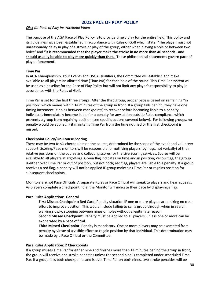## **2022 PACE OF PLAY POLICY**

<span id="page-29-0"></span>*Click [for Pace of Play Instructional Video](https://www.youtube.com/watch?v=V18ui3Rtjz4)*

The purpose of the AGA Pace of Play Policy is to provide timely play for the entire field. This policy and its guidelines have been established in accordance with Rules of Golf which state, "The player must not unreasonably delay in play of a stroke or play of the group, either when playing a hole or between two holes" and **"It is recommended that the player make the stroke in no more than 40 seconds…and should usually be able to play more quickly than that…** These philosophical statements govern pace of play enforcement.

#### **Time Par**

In AGA Championship, Tour Events and USGA Qualifiers, the Committee will establish and make available to all players an allotted time (Time Par) for each hole of the round. This Time Par system will be used as a baseline for the Pace of Play Policy but will not limit any player's responsibility to play in accordance with the Rules of Golf.

Time Par is set for the first three groups. After the third group, proper pace is based on remaining "in position" which means within 14 minutes of the group in front. If a group falls behind, they have one timing increment (# holes between checkpoints) to recover before becoming liable to a penalty. Individuals immediately become liable for a penalty for any action outside Rules compliance which prevents a group from regaining position (see specific actions covered below). For following groups, no penalty would be applied IF it maintains Time Par from the time notified or the first checkpoint is missed.

#### **Checkpoint Policy/On-Course Scoring**

There may be two to six checkpoints on the course, determined by the scope of the event and volunteer support. Scoring/Pace monitors will be responsible for notifying players (by flags, not verbally) of their relative positions on the course and collecting scores for the Live Scoring services. Scores will be available to all players at azgolf.org. Green flag indicates on time and in position; yellow flag, the group is either over Time Par or out of position, but not both; red flag, players are liable to a penalty. If a group receives a red flag, a penalty will not be applied IF group maintains Time Par or regains position for subsequent checkpoints.

Monitors are not Pace Officials. A separate Rules or Pace Official will speak to players and hear appeals. As players complete a checkpoint hole, the Monitor will indicate their pace by displaying a flag.

#### **Pace Rules Application: General**

**First Missed Checkpoint:** Red Card; Penalty situation IF one or more players are making no clear effort to improve position. This would include failing to call a group through when in search, walking slowly, stopping between nines or holes without a legitimate reason. **Second Missed Checkpoint:** Penalty must be applied to all players, unless one or more can be

exonerated by a pace official.

**Third Missed Checkpoint:** Penalty is mandatory. One or more players may be exempted from penalty by virtue of a visible effort to regain position by that individual. This determination may be made by a Pace Official or the Committee.

#### **Pace Rules Application: 2 Checkpoints**

If a group misses Time Par for either nine and finishes more than 14 minutes behind the group in front, the group will receive one stroke penalties unless the second nine is completed under scheduled Time Par. If a group fails both checkpoints and is over Time Par on both nines, two stroke penalties will be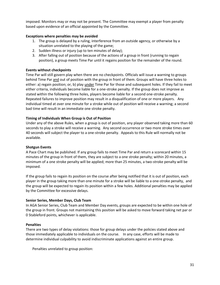imposed. Monitors may or may not be present. The Committee may exempt a player from penalty based upon evidence of an official appointed by the Committee.

#### **Exceptions where penalties may be avoided**

- 1. The group is delayed by a ruling, interference from an outside agency, or otherwise by a situation unrelated to the playing of the game;
- 2. Sudden illness or injury (up to ten minutes of delay);
- 3. After falling out of position because of the actions of a group in front (running to regain position), a group meets Time Par until it regains position for the remainder of the round.

#### **Events without checkpoints**

Time Par will still govern play when there are no checkpoints. Officials will issue a warning to groups behind Time Par and out of position with the group in front of them. Groups will have three holes to either: a) regain position; or, b) play under Time Par for those and subsequent holes. If they fail to meet either criteria, individuals become liable for a one-stroke penalty. If the group does not improve as stated within the following three holes, players become liable for a second one-stroke penalty. Repeated failures to improve position may result in a disqualification of one or more players. Any individual timed at over one minute for a stroke while out of position will receive a warning; a second bad time will result in an immediate one stroke penalty.

#### **Timing of Individuals When Group is Out of Position**

Under any of the above Rules, when a group is out of position, any player observed taking more than 60 seconds to play a stroke will receive a warning. Any second occurrence or two more stroke times over 40 seconds will subject the player to a one-stroke penalty. Appeals to this Rule will normally not be available.

#### **Shotgun Events**

A Pace Chart may be published. If any group fails to meet Time Par and return a scorecard within 15 minutes of the group in front of them, they are subject to a one stroke penalty; within 20 minutes, a minimum of a one stroke penalty will be applied; more than 25 minutes, a two-stroke penalty will be imposed.

If the group fails to regain its position on the course after being notified that it is out of position, each player in the group taking more than one minute for a stroke will be liable to a one-stroke penalty, and the group will be expected to regain its position within a few holes. Additional penalties may be applied by the Committee for excessive delays.

#### **Senior Series, Member Days, Club Team**

In AGA Senior Series, Club Team and Member Day events, groups are expected to be within one hole of the group in front. Groups not maintaining this position will be asked to move forward taking net par or 0 Stableford points, whichever is applicable.

#### **Penalties**

There are two types of delay violations: those for group delays under the policies stated above and those immediately applicable to individuals on the course. In any case, efforts will be made to determine individual culpability to avoid indiscriminate applications against an entire group.

Penalties unrelated to group position: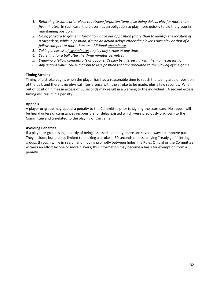- *1. Returning to some prior place to retrieve forgotten items if so doing delays play for more than five minutes.* In such case, the player has an obligation to play more quickly to aid the group in maintaining position.
- *2. Going forward to gather information while out of position (more than to identify the location of a target); or, while in position, if such an action delays either the player's own play or that of a fellow competitor more than an additional one minute.*
- *3. Taking in excess of two minutes to play any stroke at any time.*
- *4. Searching for a ball after the three minutes permitted.*
- *5. Delaying a fellow competitor's or opponent's play by interfering with them unnecessarily.*
- *6. Any actions which cause a group to lose position that are unrelated to the playing of the game.*

#### **Timing Strokes**

Timing of a stroke begins when the player has had a reasonable time to reach the teeing area or position of the ball, and there is no physical interference with the stroke to be made, plus a few seconds. When out of position, times in excess of 60 seconds may result in a warning to the individual. A second excess timing will result in a penalty.

#### **Appeals**

A player or group may appeal a penalty to the Committee prior to signing the scorecard. No appeal will be heard unless circumstances responsible for delay existed which were previously unknown to the Committee and unrelated to the playing of the game.

#### **Avoiding Penalties**

If a player or group is in jeopardy of being assessed a penalty, there are several ways to improve pace. They include, but are not limited to, making a stroke in 30 seconds or less, playing "ready golf," letting groups through while in search and moving promptly between holes. If a Rules Official or the Committee witness an effort by one or more players, this information may become a basis for exemption from a penalty.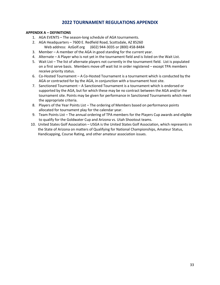## **2022 TOURNAMENT REGULATIONS APPENDIX**

#### <span id="page-32-0"></span>**APPENDIX A – DEFINITIONS**

- 1. AGA EVENTS The season-long schedule of AGA tournaments.
- 2. AGA Headquarters 7600 E. Redfield Road, Scottsdale, AZ 85260 Web address: AzGolf.org (602) 944-3035 or (800) 458-8484
- 3. Member A member of the AGA in good standing for the current year.
- 4. Alternate A Player who is not yet in the tournament field and is listed on the Wait List.
- 5. Wait List The list of alternate players not currently in the tournament field. List is populated on a first serve basis. Members move off wait list in order registered – except TPA members receive priority status.
- 6. Co-Hosted Tournament A Co-Hosted Tournament is a tournament which is conducted by the AGA or contracted for by the AGA, in conjunction with a tournament host site.
- 7. Sanctioned Tournament A Sanctioned Tournament is a tournament which is endorsed or supported by the AGA, but for which these may be no contract between the AGA and/or the tournament site. Points may be given for performance in Sanctioned Tournaments which meet the appropriate criteria.
- 8. Players of the Year Points List The ordering of Members based on performance points allocated for tournament play for the calendar year.
- 9. Team Points List The annual ordering of TPA members for the Players Cup awards and eligible to qualify for the Goldwater Cup and Arizona vs. Utah Shootout teams.
- 10. United States Golf Association USGA is the United States Golf Association, which represents in the State of Arizona on matters of Qualifying for National Championships, Amateur Status, Handicapping, Course Rating, and other amateur association issues.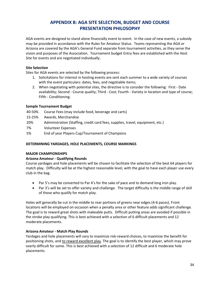## **APPENDIX B: AGA SITE SELECTION, BUDGET AND COURSE PRESENTATION PHILOSOPHY**

<span id="page-33-0"></span>AGA events are designed to stand alone financially event to event. In the case of new events, a subsidy may be provided in accordance with the Rules for Amateur Status. Teams representing the AGA or Arizona are covered by the AGA's General Fund separate from tournament activities, as they serve the vision and purposes of the Association. Tournament budget Entry fees are established with the Host Site for events and are negotiated individually.

#### **Site Selection**

Sites for AGA events are selected by the following process:

- 1. Solicitations for interest in hosting events are sent each summer to a wide variety of courses with the event particulars: dates, fees, and negotiable items;
- 2. When negotiating with potential sites, the directive is to consider the following: First Date availability; Second - Course quality; Third - Cost; Fourth - Variety in location and type of course; Fifth - Conditioning.

#### **Sample Tournament Budget**

- 40-50% Course Fees (may include food, beverage and carts)
- 15-25% Awards, Merchandise
- 20% Administration (Staffing, credit card fees, supplies, travel, equipment, etc.)
- 7% Volunteer Expenses
- 5% End of year Players Cup/Tournament of Champions

#### **DETERMINING YARDAGES, HOLE PLACEMENTS, COURSE MARKINGS**

#### **MAJOR CHAMPIONSHIPS**

#### **Arizona Amateur - Qualifying Rounds**

Course yardages and hole placements will be chosen to facilitate the selection of the best 64 players for match play. Difficulty will be at the highest reasonable level, with the goal to have each player use every club in the bag.

- Par 5's may be converted to Par 4's for the sake of pace and to demand long iron play.
- Par 3's will be set to offer variety and challenge. The target difficulty is the middle range of skill of those who qualify for match play.

Holes will generally be cut in the middle to rear portions of greens near edges (4-6 paces). Front locations will be employed on occasion when a penalty area or other feature adds significant challenge. The goal is to reward great shots with makeable putts. Difficult putting areas are avoided if possible in the stroke play qualifying. This is best achieved with a selection of 6 difficult placements and 12 moderate placements.

#### **Arizona Amateur - Match Play Rounds**

Yardages and hole placements will vary to maximize risk-reward choices, to maximize the benefit for positioning shots, and to reward excellent play. The goal is to identify the best player, which may prove overly difficult for some. This is best achieved with a selection of 12 difficult and 6 moderate hole placements.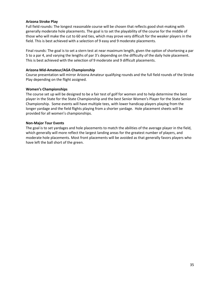#### **Arizona Stroke Play**

Full field rounds: The longest reasonable course will be chosen that reflects good shot-making with generally moderate hole placements. The goal is to set the playability of the course for the middle of those who will make the cut to 60 and ties, which may prove very difficult for the weaker players in the field. This is best achieved with a selection of 9 easy and 9 moderate placements.

Final rounds: The goal is to set a stern test at near maximum length, given the option of shortening a par 5 to a par 4, and varying the lengths of par 3's depending on the difficulty of the daily hole placement. This is best achieved with the selection of 9 moderate and 9 difficult placements.

#### **Arizona Mid-Amateur/AGA Championship**

Course presentation will mirror Arizona Amateur qualifying rounds and the full field rounds of the Stroke Play depending on the flight assigned.

#### **Women's Championships**

The course set up will be designed to be a fair test of golf for women and to help determine the best player in the State for the State Championship and the best Senior Women's Player for the State Senior Championship. Some events will have multiple tees, with lower handicap players playing from the longer yardage and the field flights playing from a shorter yardage. Hole placement sheets will be provided for all women's championships.

#### **Non-Major Tour Events**

The goal is to set yardages and hole placements to match the abilities of the average player in the field, which generally will more reflect the largest landing areas for the greatest number of players, and moderate hole placements. Most front placements will be avoided as that generally favors players who have left the ball short of the green.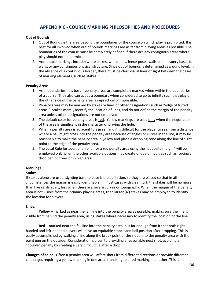## **APPENDIX C - COURSE MARKING PHILOSOPHIES AND PROCEDURES**

#### <span id="page-35-0"></span>**Out of Bounds**

- 1. Out of Bounds is the area beyond the boundaries of the course on which play is prohibited. It is best for all involved when out of bounds markings are as far from playing areas as possible. The boundaries of the course must be completely defined if there are any contiguous areas where play should not be permitted.
- 2. Acceptable markings include: white stakes, white lines, fence-posts, walls and masonry bases for walls, or any continuous physical structure. Since out of bounds is determined at ground level, in the absence of a continuous border, there must be clear visual lines of sight between the bases of marking elements, such as stakes.

#### **Penalty Areas**

- 1. As in boundaries, it is best if penalty areas are completely marked when within the boundaries of a course. They also can act as a boundary when considered to go to infinity such that play on the other side of the penalty area is impractical of impossible.
- 2. Penalty areas may be marked by stakes or lines or other designations such as "edge of turfed areas." Stakes merely identify the location of lines, and do not define the margin of the penalty area unless other designations are not employed.
- 3. The default color for penalty areas is red. Yellow markings are used only when the negotiation of the area is significant in the character of playing the hole.
- 4. When a penalty area is adjacent to a green and it is difficult for the player to see from a distance where a ball might cross into the penalty area because of angles or curves in the line, it may be reasonable to make the penalty area in yellow and place a dropping zone along the line of sight point to the edge of the penalty area.
- 5. The Local Rule for additional relief for a red penalty area using the "opposite margin" will be employed only when the other available options may create undue difficulties such as forcing a drop behind trees or in high grass.

#### **Markings**

#### **Stakes:**

If stakes alone are used, sighting base to base is the definition, so they are placed so that in all circumstances the margin is easily identifiable. In most cases with clean turf, the stakes will be no more than five yards apart, less when there are severe curves or topography. When the margin of the penalty area is not visible from the primary playing areas, then larger (4') stakes may be employed to identify the location for players.

#### **Lines:**

**Yellow** – marked as near the fall line into the penalty area as possible, making sure the line is visible from behind the penalty area, using stakes where necessary to identify the location of the line.

**Red** – marked near the fall line into the penalty area, but far enough from it that both righthanded and left-handed players will have an equitable stance and ball position after dropping. This is easily accomplished by walking a line along the break point of the slope into the penalty area with the paint gun on the outside. Consideration is given to providing a reasonable next shot, avoiding a "double" penalty by creating a very difficult lie after a drop.

**Changes of color -** Often a penalty area will affect shots from different directions or provide different challenges requiring a yellow marking in one area, transiting to a red marking in another. This is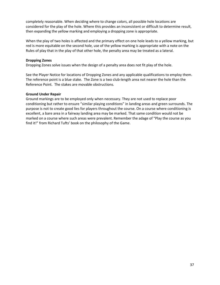completely reasonable. When deciding where to change colors, all possible hole locations are considered for the play of the hole. Where this provides an inconsistent or difficult to determine result, then expanding the yellow marking and employing a dropping zone is appropriate.

When the play of two holes is affected and the primary effect on one hole leads to a yellow marking, but red is more equitable on the second hole, use of the yellow marking is appropriate with a note on the Rules of play that in the play of that other hole, the penalty area may be treated as a lateral.

#### **Dropping Zones**

Dropping Zones solve issues when the design of a penalty area does not fit play of the hole.

See the Player Notice for locations of Dropping Zones and any applicable qualifications to employ them. The reference point is a blue stake. The Zone is a two club-length area not nearer the hole than the Reference Point. The stakes are movable obstructions.

#### **Ground Under Repair**

Ground markings are to be employed only when necessary. They are not used to replace poor conditioning but rather to ensure "similar playing conditions" in landing areas and green surrounds. The purpose is not to create good lies for players throughout the course. On a course where conditioning is excellent, a bare area in a fairway landing area may be marked. That same condition would not be marked on a course where such areas were prevalent. Remember the adage of "Play the course as you find it!" from Richard Tufts' book on the philosophy of the Game.